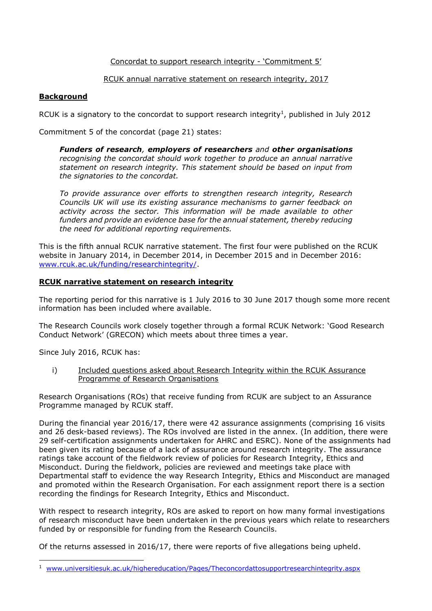## Concordat to support research integrity - 'Commitment 5'

### RCUK annual narrative statement on research integrity, 2017

### **Background**

RCUK is a signatory to the concordat to support research integrity<sup>1</sup>, published in July 2012

Commitment 5 of the concordat (page 21) states:

*Funders of research, employers of researchers and other organisations recognising the concordat should work together to produce an annual narrative statement on research integrity. This statement should be based on input from the signatories to the concordat.*

*To provide assurance over efforts to strengthen research integrity, Research Councils UK will use its existing assurance mechanisms to garner feedback on activity across the sector. This information will be made available to other funders and provide an evidence base for the annual statement, thereby reducing the need for additional reporting requirements.*

This is the fifth annual RCUK narrative statement. The first four were published on the RCUK website in January 2014, in December 2014, in December 2015 and in December 2016: [www.rcuk.ac.uk/funding/researchintegrity/.](http://www.rcuk.ac.uk/funding/researchintegrity/)

### **RCUK narrative statement on research integrity**

The reporting period for this narrative is 1 July 2016 to 30 June 2017 though some more recent information has been included where available.

The Research Councils work closely together through a formal RCUK Network: 'Good Research Conduct Network' (GRECON) which meets about three times a year.

Since July 2016, RCUK has:

i) Included questions asked about Research Integrity within the RCUK Assurance Programme of Research Organisations

Research Organisations (ROs) that receive funding from RCUK are subject to an Assurance Programme managed by RCUK staff.

During the financial year 2016/17, there were 42 assurance assignments (comprising 16 visits and 26 desk-based reviews). The ROs involved are listed in the annex. (In addition, there were 29 self-certification assignments undertaken for AHRC and ESRC). None of the assignments had been given its rating because of a lack of assurance around research integrity. The assurance ratings take account of the fieldwork review of policies for Research Integrity, Ethics and Misconduct. During the fieldwork, policies are reviewed and meetings take place with Departmental staff to evidence the way Research Integrity, Ethics and Misconduct are managed and promoted within the Research Organisation. For each assignment report there is a section recording the findings for Research Integrity, Ethics and Misconduct.

With respect to research integrity, ROs are asked to report on how many formal investigations of research misconduct have been undertaken in the previous years which relate to researchers funded by or responsible for funding from the Research Councils.

Of the returns assessed in 2016/17, there were reports of five allegations being upheld.

<sup>&</sup>lt;sup>1</sup> [www.universitiesuk.ac.uk/highereducation/Pages/Theconcordattosupportresearchintegrity.aspx](http://www.universitiesuk.ac.uk/highereducation/Pages/Theconcordattosupportresearchintegrity.aspx)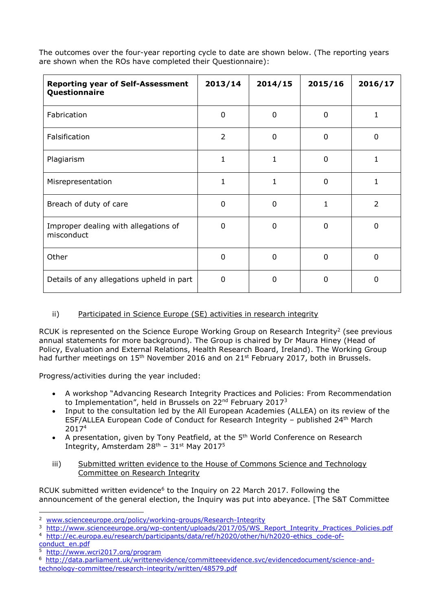The outcomes over the four-year reporting cycle to date are shown below. (The reporting years are shown when the ROs have completed their Questionnaire):

| <b>Reporting year of Self-Assessment</b><br>Questionnaire | 2013/14        | 2014/15     | 2015/16      | 2016/17        |
|-----------------------------------------------------------|----------------|-------------|--------------|----------------|
| Fabrication                                               | 0              | 0           | 0            | 1              |
| Falsification                                             | $\overline{2}$ | $\mathbf 0$ | $\mathbf 0$  | 0              |
| Plagiarism                                                | 1              | 1           | $\mathbf{0}$ | 1              |
| Misrepresentation                                         | $\mathbf{1}$   | 1           | $\Omega$     |                |
| Breach of duty of care                                    | 0              | 0           | 1            | $\overline{2}$ |
| Improper dealing with allegations of<br>misconduct        | $\Omega$       | 0           | $\Omega$     | 0              |
| Other                                                     | $\Omega$       | $\mathbf 0$ | $\Omega$     | $\Omega$       |
| Details of any allegations upheld in part                 | $\Omega$       | 0           | 0            | 0              |

# ii) Participated in Science Europe (SE) activities in research integrity

RCUK is represented on the Science Europe Working Group on Research Integrity<sup>2</sup> (see previous annual statements for more background). The Group is chaired by Dr Maura Hiney (Head of Policy, Evaluation and External Relations, Health Research Board, Ireland). The Working Group had further meetings on  $15<sup>th</sup>$  November 2016 and on  $21<sup>st</sup>$  February 2017, both in Brussels.

Progress/activities during the year included:

- A workshop "Advancing Research Integrity Practices and Policies: From Recommendation to Implementation", held in Brussels on  $22^{nd}$  February  $2017^3$
- Input to the consultation led by the All European Academies (ALLEA) on its review of the ESF/ALLEA European Code of Conduct for Research Integrity – published  $24<sup>th</sup>$  March 2017<sup>4</sup>
- A presentation, given by Tony Peatfield, at the 5<sup>th</sup> World Conference on Research Integrity, Amsterdam  $28<sup>th</sup>$  –  $31<sup>st</sup>$  May 2017<sup>5</sup>
- iii) Submitted written evidence to the House of Commons Science and Technology Committee on Research Integrity

RCUK submitted written evidence<sup>6</sup> to the Inquiry on 22 March 2017. Following the announcement of the general election, the Inquiry was put into abeyance. [The S&T Committee

[conduct\\_en.pdf](http://ec.europa.eu/research/participants/data/ref/h2020/other/hi/h2020-ethics_code-of-conduct_en.pdf)

5 <http://www.wcri2017.org/program>

<sup>2</sup> [www.scienceeurope.org/policy/working-groups/Research-Integrity](http://www.scienceeurope.org/policy/working-groups/Research-Integrity)

<sup>&</sup>lt;sup>3</sup> [http://www.scienceeurope.org/wp-content/uploads/2017/05/WS\\_Report\\_Integrity\\_Practices\\_Policies.pdf](http://www.scienceeurope.org/wp-content/uploads/2017/05/WS_Report_Integrity_Practices_Policies.pdf)

<sup>4</sup> [http://ec.europa.eu/research/participants/data/ref/h2020/other/hi/h2020-ethics\\_code-of-](http://ec.europa.eu/research/participants/data/ref/h2020/other/hi/h2020-ethics_code-of-conduct_en.pdf)

<sup>6</sup> [http://data.parliament.uk/writtenevidence/committeeevidence.svc/evidencedocument/science-and](http://data.parliament.uk/writtenevidence/committeeevidence.svc/evidencedocument/science-and-technology-committee/research-integrity/written/48579.pdf)[technology-committee/research-integrity/written/48579.pdf](http://data.parliament.uk/writtenevidence/committeeevidence.svc/evidencedocument/science-and-technology-committee/research-integrity/written/48579.pdf)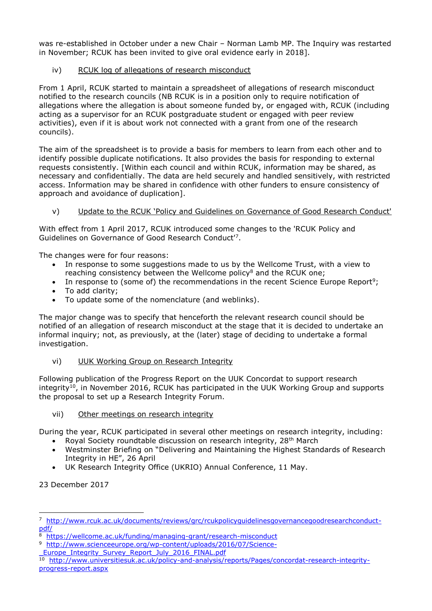was re-established in October under a new Chair – Norman Lamb MP. The Inquiry was restarted in November; RCUK has been invited to give oral evidence early in 2018].

## iv) RCUK log of allegations of research misconduct

From 1 April, RCUK started to maintain a spreadsheet of allegations of research misconduct notified to the research councils (NB RCUK is in a position only to require notification of allegations where the allegation is about someone funded by, or engaged with, RCUK (including acting as a supervisor for an RCUK postgraduate student or engaged with peer review activities), even if it is about work not connected with a grant from one of the research councils).

The aim of the spreadsheet is to provide a basis for members to learn from each other and to identify possible duplicate notifications. It also provides the basis for responding to external requests consistently. [Within each council and within RCUK, information may be shared, as necessary and confidentially. The data are held securely and handled sensitively, with restricted access. Information may be shared in confidence with other funders to ensure consistency of approach and avoidance of duplication].

## v) Update to the RCUK 'Policy and Guidelines on Governance of Good Research Conduct'

With effect from 1 April 2017, RCUK introduced some changes to the 'RCUK Policy and Guidelines on Governance of Good Research Conduct'<sup>7</sup> .

The changes were for four reasons:

- In response to some suggestions made to us by the Wellcome Trust, with a view to reaching consistency between the Wellcome policy<sup>8</sup> and the RCUK one;
- In response to (some of) the recommendations in the recent Science Europe Report<sup>9</sup>;
- To add clarity;
- To update some of the nomenclature (and weblinks).

The major change was to specify that henceforth the relevant research council should be notified of an allegation of research misconduct at the stage that it is decided to undertake an informal inquiry; not, as previously, at the (later) stage of deciding to undertake a formal investigation.

vi) UUK Working Group on Research Integrity

Following publication of the Progress Report on the UUK Concordat to support research integrity<sup>10</sup>, in November 2016, RCUK has participated in the UUK Working Group and supports the proposal to set up a Research Integrity Forum.

## vii) Other meetings on research integrity

During the year, RCUK participated in several other meetings on research integrity, including:

- Royal Society roundtable discussion on research integrity, 28th March
- Westminster Briefing on "Delivering and Maintaining the Highest Standards of Research Integrity in HE", 26 April
- UK Research Integrity Office (UKRIO) Annual Conference, 11 May.

23 December 2017

<sup>7</sup> [http://www.rcuk.ac.uk/documents/reviews/grc/rcukpolicyguidelinesgovernancegoodresearchconduct](http://www.rcuk.ac.uk/documents/reviews/grc/rcukpolicyguidelinesgovernancegoodresearchconduct-pdf/)[pdf/](http://www.rcuk.ac.uk/documents/reviews/grc/rcukpolicyguidelinesgovernancegoodresearchconduct-pdf/)

 $\overline{8}$ <https://wellcome.ac.uk/funding/managing-grant/research-misconduct>

<sup>&</sup>lt;sup>9</sup> [http://www.scienceeurope.org/wp-content/uploads/2016/07/Science-](http://www.scienceeurope.org/wp-content/uploads/2016/07/Science-_Europe_Integrity_Survey_Report_July_2016_FINAL.pdf)

Europe Integrity Survey Report July 2016 FINAL.pdf

<sup>10</sup> [http://www.universitiesuk.ac.uk/policy-and-analysis/reports/Pages/concordat-research-integrity](http://www.universitiesuk.ac.uk/policy-and-analysis/reports/Pages/concordat-research-integrity-progress-report.aspx)[progress-report.aspx](http://www.universitiesuk.ac.uk/policy-and-analysis/reports/Pages/concordat-research-integrity-progress-report.aspx)